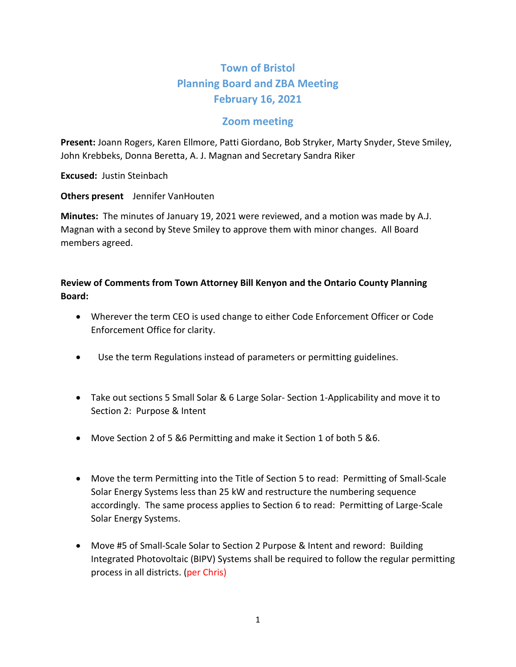## **Town of Bristol Planning Board and ZBA Meeting February 16, 2021**

## **Zoom meeting**

**Present:** Joann Rogers, Karen Ellmore, Patti Giordano, Bob Stryker, Marty Snyder, Steve Smiley, John Krebbeks, Donna Beretta, A. J. Magnan and Secretary Sandra Riker

**Excused:** Justin Steinbach

**Others present** Jennifer VanHouten

**Minutes:** The minutes of January 19, 2021 were reviewed, and a motion was made by A.J. Magnan with a second by Steve Smiley to approve them with minor changes. All Board members agreed.

## **Review of Comments from Town Attorney Bill Kenyon and the Ontario County Planning Board:**

- Wherever the term CEO is used change to either Code Enforcement Officer or Code Enforcement Office for clarity.
- Use the term Regulations instead of parameters or permitting guidelines.
- Take out sections 5 Small Solar & 6 Large Solar-Section 1-Applicability and move it to Section 2: Purpose & Intent
- Move Section 2 of 5 &6 Permitting and make it Section 1 of both 5 &6.
- Move the term Permitting into the Title of Section 5 to read: Permitting of Small-Scale Solar Energy Systems less than 25 kW and restructure the numbering sequence accordingly. The same process applies to Section 6 to read: Permitting of Large-Scale Solar Energy Systems.
- Move #5 of Small-Scale Solar to Section 2 Purpose & Intent and reword: Building Integrated Photovoltaic (BIPV) Systems shall be required to follow the regular permitting process in all districts. (per Chris)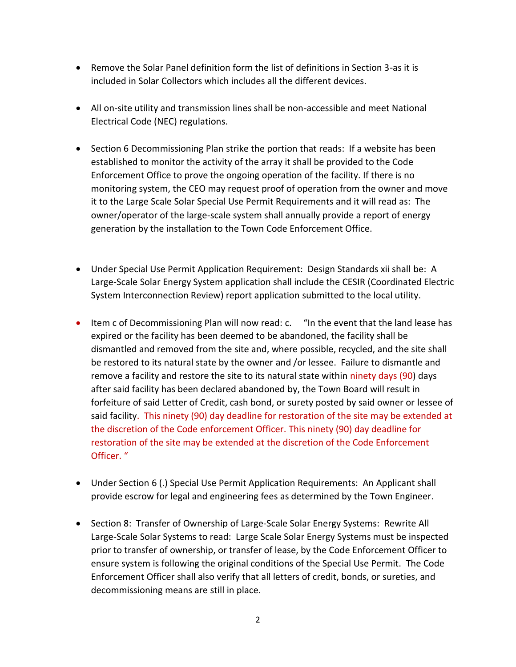- Remove the Solar Panel definition form the list of definitions in Section 3-as it is included in Solar Collectors which includes all the different devices.
- All on-site utility and transmission lines shall be non-accessible and meet National Electrical Code (NEC) regulations.
- Section 6 Decommissioning Plan strike the portion that reads: If a website has been established to monitor the activity of the array it shall be provided to the Code Enforcement Office to prove the ongoing operation of the facility. If there is no monitoring system, the CEO may request proof of operation from the owner and move it to the Large Scale Solar Special Use Permit Requirements and it will read as: The owner/operator of the large-scale system shall annually provide a report of energy generation by the installation to the Town Code Enforcement Office.
- Under Special Use Permit Application Requirement: Design Standards xii shall be: A Large-Scale Solar Energy System application shall include the CESIR (Coordinated Electric System Interconnection Review) report application submitted to the local utility.
- Item c of Decommissioning Plan will now read: c. "In the event that the land lease has expired or the facility has been deemed to be abandoned, the facility shall be dismantled and removed from the site and, where possible, recycled, and the site shall be restored to its natural state by the owner and /or lessee. Failure to dismantle and remove a facility and restore the site to its natural state within ninety days (90) days after said facility has been declared abandoned by, the Town Board will result in forfeiture of said Letter of Credit, cash bond, or surety posted by said owner or lessee of said facility. This ninety (90) day deadline for restoration of the site may be extended at the discretion of the Code enforcement Officer. This ninety (90) day deadline for restoration of the site may be extended at the discretion of the Code Enforcement Officer. "
- Under Section 6 (.) Special Use Permit Application Requirements: An Applicant shall provide escrow for legal and engineering fees as determined by the Town Engineer.
- Section 8: Transfer of Ownership of Large-Scale Solar Energy Systems: Rewrite All Large-Scale Solar Systems to read: Large Scale Solar Energy Systems must be inspected prior to transfer of ownership, or transfer of lease, by the Code Enforcement Officer to ensure system is following the original conditions of the Special Use Permit. The Code Enforcement Officer shall also verify that all letters of credit, bonds, or sureties, and decommissioning means are still in place.